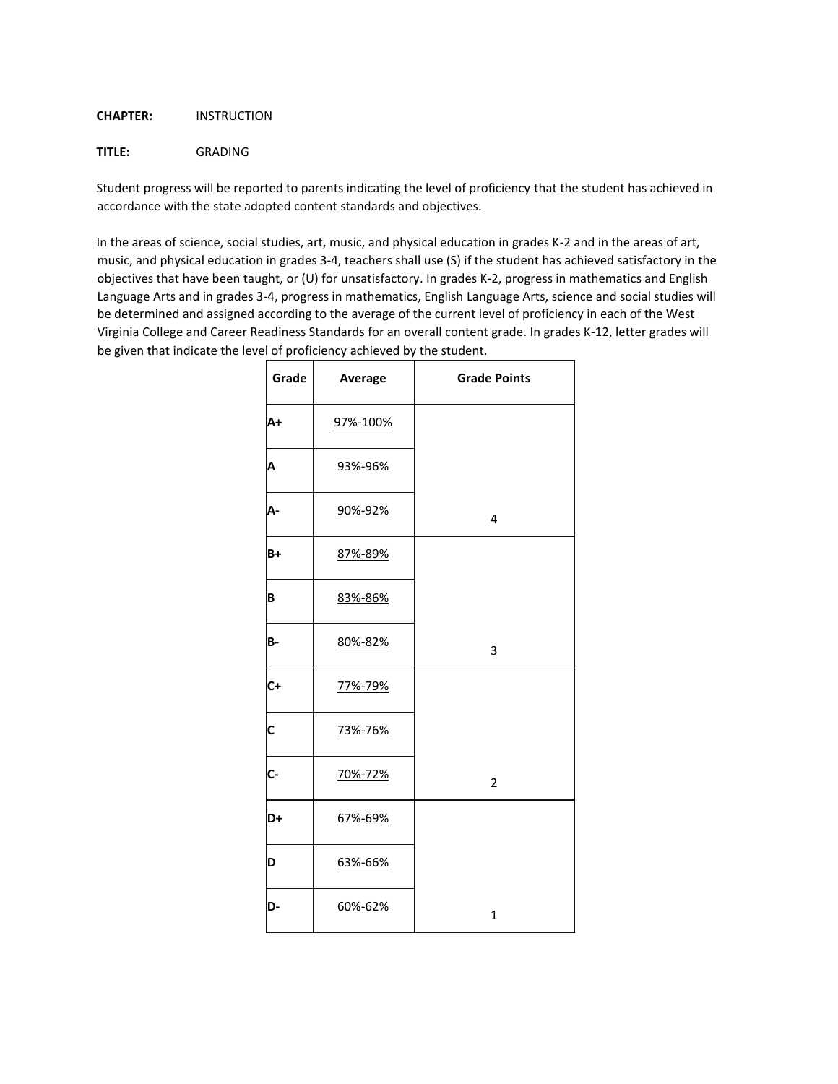## **CHAPTER:** INSTRUCTION

## **TITLE:** GRADING

Student progress will be reported to parents indicating the level of proficiency that the student has achieved in accordance with the state adopted content standards and objectives.

In the areas of science, social studies, art, music, and physical education in grades K-2 and in the areas of art, music, and physical education in grades 3-4, teachers shall use (S) if the student has achieved satisfactory in the objectives that have been taught, or (U) for unsatisfactory. In grades K-2, progress in mathematics and English Language Arts and in grades 3-4, progress in mathematics, English Language Arts, science and social studies will be determined and assigned according to the average of the current level of proficiency in each of the West Virginia College and Career Readiness Standards for an overall content grade. In grades K-12, letter grades will be given that indicate the level of proficiency achieved by the student.

| Grade | Average  | <b>Grade Points</b> |
|-------|----------|---------------------|
| A+    | 97%-100% |                     |
| A     | 93%-96%  |                     |
| А-    | 90%-92%  | 4                   |
| B+    | 87%-89%  |                     |
| B     | 83%-86%  |                     |
| B-    | 80%-82%  | 3                   |
| C+    | 77%-79%  |                     |
| C     | 73%-76%  |                     |
| c-    | 70%-72%  | $\overline{2}$      |
| D+    | 67%-69%  |                     |
| D     | 63%-66%  |                     |
| D-    | 60%-62%  | $\mathbf{1}$        |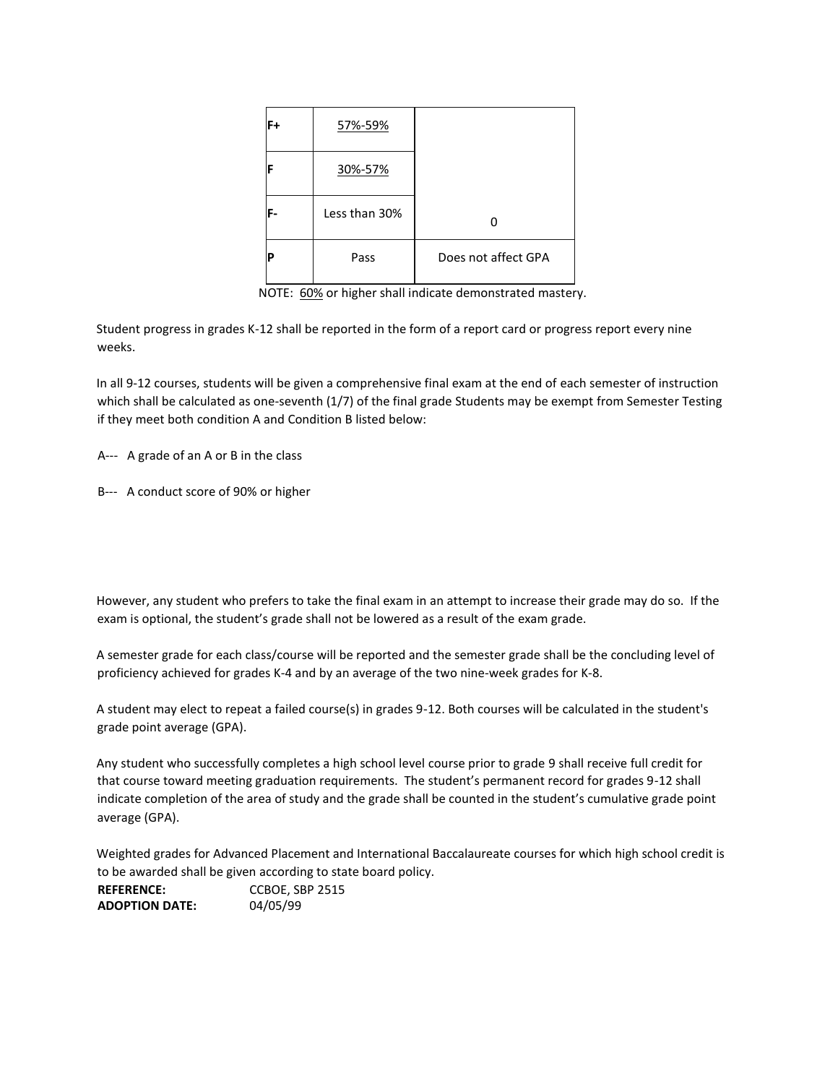| F+ | 57%-59%       |                     |
|----|---------------|---------------------|
| F  | 30%-57%       |                     |
| F- | Less than 30% |                     |
| P  | Pass          | Does not affect GPA |

NOTE: 60% or higher shall indicate demonstrated mastery.

Student progress in grades K-12 shall be reported in the form of a report card or progress report every nine weeks.

In all 9-12 courses, students will be given a comprehensive final exam at the end of each semester of instruction which shall be calculated as one-seventh (1/7) of the final grade Students may be exempt from Semester Testing if they meet both condition A and Condition B listed below:

A--- A grade of an A or B in the class

B--- A conduct score of 90% or higher

However, any student who prefers to take the final exam in an attempt to increase their grade may do so. If the exam is optional, the student's grade shall not be lowered as a result of the exam grade.

A semester grade for each class/course will be reported and the semester grade shall be the concluding level of proficiency achieved for grades K-4 and by an average of the two nine-week grades for K-8.

A student may elect to repeat a failed course(s) in grades 9-12. Both courses will be calculated in the student's grade point average (GPA).

Any student who successfully completes a high school level course prior to grade 9 shall receive full credit for that course toward meeting graduation requirements. The student's permanent record for grades 9-12 shall indicate completion of the area of study and the grade shall be counted in the student's cumulative grade point average (GPA).

Weighted grades for Advanced Placement and International Baccalaureate courses for which high school credit is to be awarded shall be given according to state board policy.

**REFERENCE:** CCBOE, SBP 2515 **ADOPTION DATE:** 04/05/99